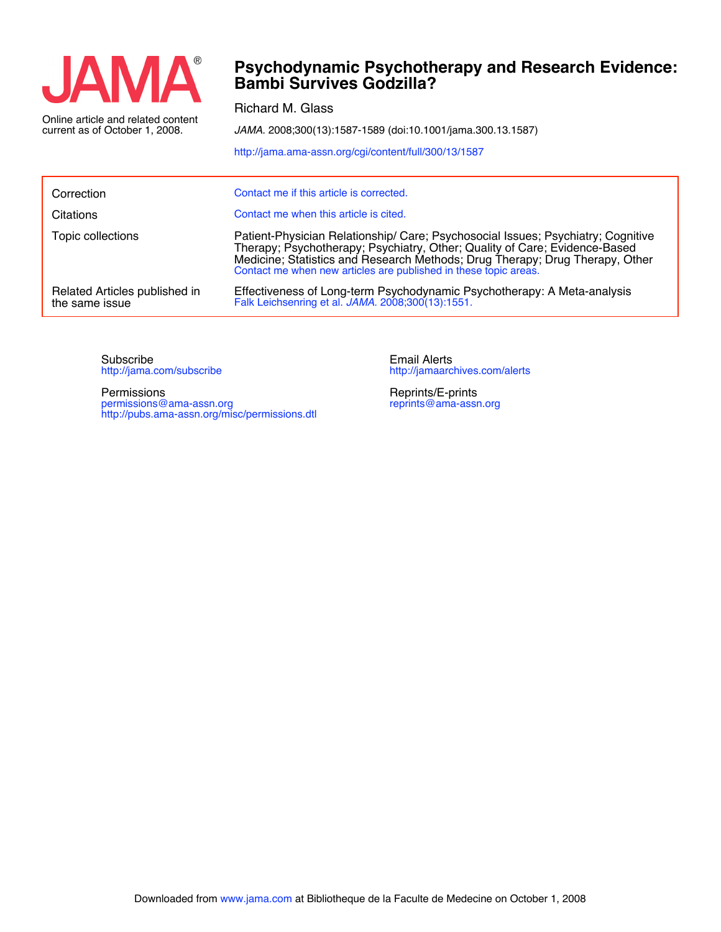

current as of October 1, 2008.

**Bambi Survives Godzilla? Psychodynamic Psychotherapy and Research Evidence:**

Richard M. Glass

*JAMA*. 2008;300(13):1587-1589 (doi:10.1001/jama.300.13.1587)

<http://jama.ama-assn.org/cgi/content/full/300/13/1587>

| Correction                                      | Contact me if this article is corrected.                                                                                                                                                                                                                                                                           |
|-------------------------------------------------|--------------------------------------------------------------------------------------------------------------------------------------------------------------------------------------------------------------------------------------------------------------------------------------------------------------------|
| Citations                                       | Contact me when this article is cited.                                                                                                                                                                                                                                                                             |
| Topic collections                               | Patient-Physician Relationship/ Care; Psychosocial Issues; Psychiatry; Cognitive<br>Therapy; Psychotherapy; Psychiatry, Other; Quality of Care; Evidence-Based<br>Medicine; Statistics and Research Methods; Drug Therapy; Drug Therapy, Other<br>Contact me when new articles are published in these topic areas. |
| Related Articles published in<br>the same issue | Effectiveness of Long-term Psychodynamic Psychotherapy: A Meta-analysis<br>Falk Leichsenring et al. JAMA. 2008;300(13):1551.                                                                                                                                                                                       |

<http://jama.com/subscribe> Subscribe

<http://pubs.ama-assn.org/misc/permissions.dtl> permissions@ama-assn.org Permissions

<http://jamaarchives.com/alerts> Email Alerts

[reprints@ama-assn.org](mailto:reprints@ama-assn.org) Reprints/E-prints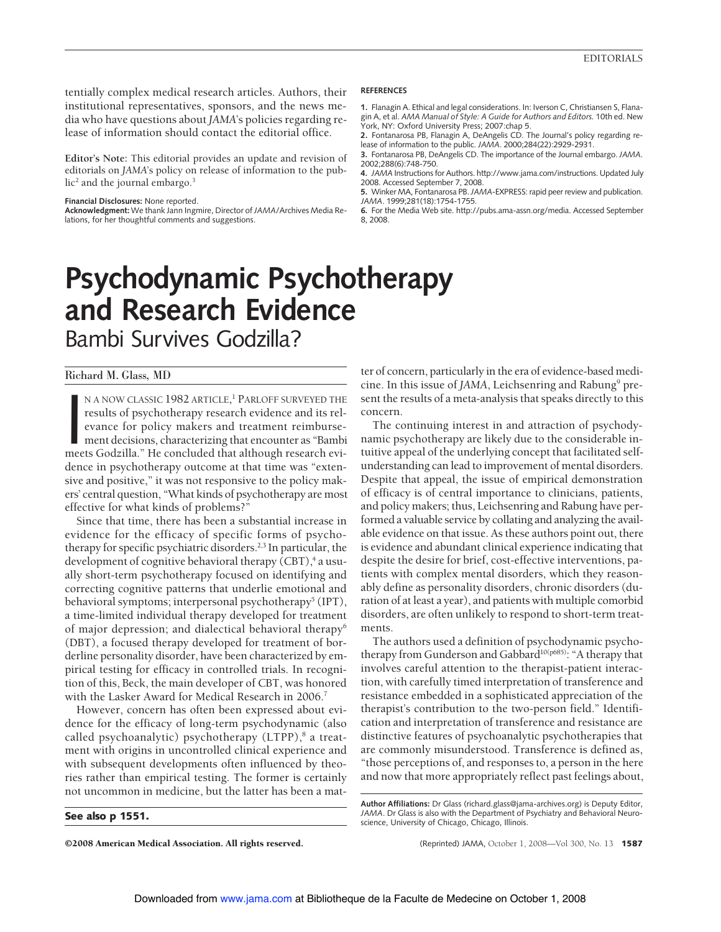tentially complex medical research articles. Authors, their institutional representatives, sponsors, and the news media who have questions about *JAMA*'s policies regarding release of information should contact the editorial office.

**Editor's Note:** This editorial provides an update and revision of editorials on *JAMA*'s policy on release of information to the pub $lic<sup>2</sup>$  and the journal embargo.<sup>3</sup>

#### **Financial Disclosures:** None reported.

**Acknowledgment:** We thank Jann Ingmire, Director of*JAMA*/Archives Media Relations, for her thoughtful comments and suggestions.

## **REFERENCES**

**1.** Flanagin A. Ethical and legal considerations. In: Iverson C, Christiansen S, Flanagin A, et al. *AMA Manual of Style: A Guide for Authors and Editors.* 10th ed. New York, NY: Oxford University Press; 2007:chap 5.

**2.** Fontanarosa PB, Flanagin A, DeAngelis CD. The Journal's policy regarding release of information to the public. *JAMA*. 2000;284(22):2929-2931.

**3.** Fontanarosa PB, DeAngelis CD. The importance of the Journal embargo.*JAMA*. 2002;288(6):748-750.

**4.** *JAMA* Instructions for Authors. http://www.jama.com/instructions. Updated July 2008. Accessed September 7, 2008.

**5.** Winker MA, Fontanarosa PB.*JAMA*-EXPRESS: rapid peer review and publication. *JAMA*. 1999;281(18):1754-1755.

**6.** For the Media Web site. http://pubs.ama-assn.org/media. Accessed September 8, 2008.

# **Psychodynamic Psychotherapy and Research Evidence**

Bambi Survives Godzilla?

# Richard M. Glass, MD

N A NOW CLASSIC 1982 ARTICLE,<sup>1</sup> PARLOFF SURVEYED THE results of psychotherapy research evidence and its relevance for policy makers and treatment reimbursement decisions, characterizing that encounter as "Bambi meets Godz n a now classic 1982 article,<sup>1</sup> Parloff surveyed the results of psychotherapy research evidence and its relevance for policy makers and treatment reimbursement decisions, characterizing that encounter as "Bambi dence in psychotherapy outcome at that time was "extensive and positive," it was not responsive to the policy makers' central question, "What kinds of psychotherapy are most effective for what kinds of problems?"

Since that time, there has been a substantial increase in evidence for the efficacy of specific forms of psychotherapy for specific psychiatric disorders.<sup>2,3</sup> In particular, the development of cognitive behavioral therapy  $(CBT)$ ,<sup>4</sup> a usually short-term psychotherapy focused on identifying and correcting cognitive patterns that underlie emotional and behavioral symptoms; interpersonal psychotherapy<sup>5</sup> (IPT), a time-limited individual therapy developed for treatment of major depression; and dialectical behavioral therapy<sup>6</sup> (DBT), a focused therapy developed for treatment of borderline personality disorder, have been characterized by empirical testing for efficacy in controlled trials. In recognition of this, Beck, the main developer of CBT, was honored with the Lasker Award for Medical Research in 2006.<sup>7</sup>

However, concern has often been expressed about evidence for the efficacy of long-term psychodynamic (also called psychoanalytic) psychotherapy (LTPP),<sup>8</sup> a treatment with origins in uncontrolled clinical experience and with subsequent developments often influenced by theories rather than empirical testing. The former is certainly not uncommon in medicine, but the latter has been a mat-

## See also p 1551.

©2008 American Medical Association. All rights reserved. (Reprinted) JAMA, October 1, 2008—Vol 300, No. 13 1587

ter of concern, particularly in the era of evidence-based medicine. In this issue of *JAMA*, Leichsenring and Rabung<sup>9</sup> present the results of a meta-analysis that speaks directly to this concern.

The continuing interest in and attraction of psychodynamic psychotherapy are likely due to the considerable intuitive appeal of the underlying concept that facilitated selfunderstanding can lead to improvement of mental disorders. Despite that appeal, the issue of empirical demonstration of efficacy is of central importance to clinicians, patients, and policy makers; thus, Leichsenring and Rabung have performed a valuable service by collating and analyzing the available evidence on that issue. As these authors point out, there is evidence and abundant clinical experience indicating that despite the desire for brief, cost-effective interventions, patients with complex mental disorders, which they reasonably define as personality disorders, chronic disorders (duration of at least a year), and patients with multiple comorbid disorders, are often unlikely to respond to short-term treatments.

The authors used a definition of psychodynamic psychotherapy from Gunderson and Gabbard<sup>10(p685)</sup>: "A therapy that involves careful attention to the therapist-patient interaction, with carefully timed interpretation of transference and resistance embedded in a sophisticated appreciation of the therapist's contribution to the two-person field." Identification and interpretation of transference and resistance are distinctive features of psychoanalytic psychotherapies that are commonly misunderstood. Transference is defined as, "those perceptions of, and responses to, a person in the here and now that more appropriately reflect past feelings about,

**Author Affiliations:** Dr Glass (richard.glass@jama-archives.org) is Deputy Editor, *JAMA*. Dr Glass is also with the Department of Psychiatry and Behavioral Neuroscience, University of Chicago, Chicago, Illinois.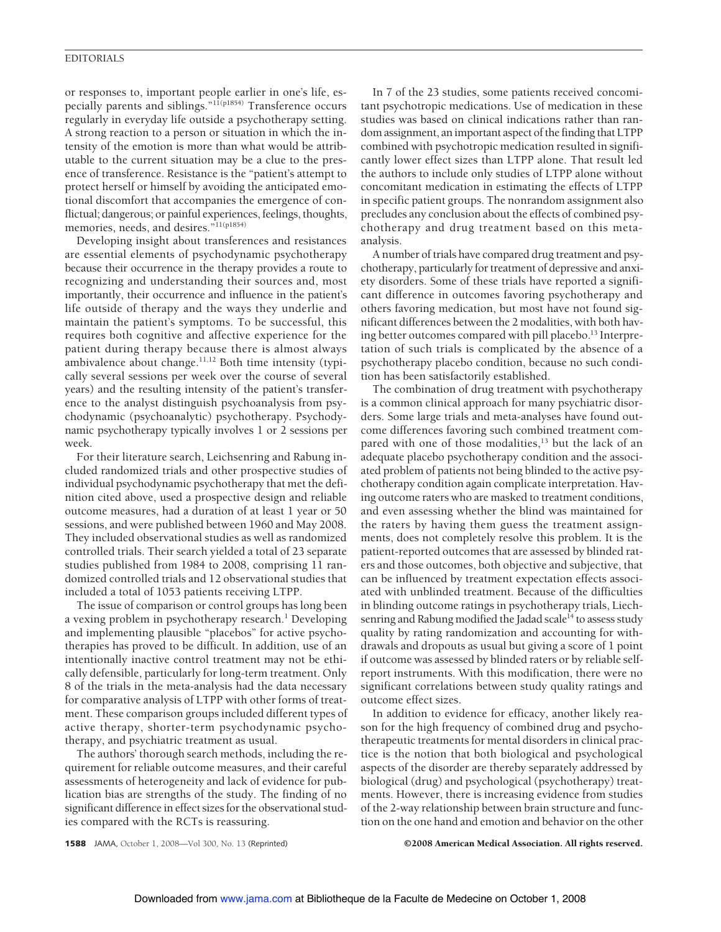## EDITORIALS

or responses to, important people earlier in one's life, especially parents and siblings."11(p1854) Transference occurs regularly in everyday life outside a psychotherapy setting. A strong reaction to a person or situation in which the intensity of the emotion is more than what would be attributable to the current situation may be a clue to the presence of transference. Resistance is the "patient's attempt to protect herself or himself by avoiding the anticipated emotional discomfort that accompanies the emergence of conflictual; dangerous; or painful experiences, feelings, thoughts, memories, needs, and desires."11(p1854)

Developing insight about transferences and resistances are essential elements of psychodynamic psychotherapy because their occurrence in the therapy provides a route to recognizing and understanding their sources and, most importantly, their occurrence and influence in the patient's life outside of therapy and the ways they underlie and maintain the patient's symptoms. To be successful, this requires both cognitive and affective experience for the patient during therapy because there is almost always ambivalence about change.<sup>11,12</sup> Both time intensity (typically several sessions per week over the course of several years) and the resulting intensity of the patient's transference to the analyst distinguish psychoanalysis from psychodynamic (psychoanalytic) psychotherapy. Psychodynamic psychotherapy typically involves 1 or 2 sessions per week.

For their literature search, Leichsenring and Rabung included randomized trials and other prospective studies of individual psychodynamic psychotherapy that met the definition cited above, used a prospective design and reliable outcome measures, had a duration of at least 1 year or 50 sessions, and were published between 1960 and May 2008. They included observational studies as well as randomized controlled trials. Their search yielded a total of 23 separate studies published from 1984 to 2008, comprising 11 randomized controlled trials and 12 observational studies that included a total of 1053 patients receiving LTPP.

The issue of comparison or control groups has long been a vexing problem in psychotherapy research.<sup>1</sup> Developing and implementing plausible "placebos" for active psychotherapies has proved to be difficult. In addition, use of an intentionally inactive control treatment may not be ethically defensible, particularly for long-term treatment. Only 8 of the trials in the meta-analysis had the data necessary for comparative analysis of LTPP with other forms of treatment. These comparison groups included different types of active therapy, shorter-term psychodynamic psychotherapy, and psychiatric treatment as usual.

The authors' thorough search methods, including the requirement for reliable outcome measures, and their careful assessments of heterogeneity and lack of evidence for publication bias are strengths of the study. The finding of no significant difference in effect sizes for the observational studies compared with the RCTs is reassuring.

In 7 of the 23 studies, some patients received concomitant psychotropic medications. Use of medication in these studies was based on clinical indications rather than random assignment, an important aspect of the finding that LTPP combined with psychotropic medication resulted in significantly lower effect sizes than LTPP alone. That result led the authors to include only studies of LTPP alone without concomitant medication in estimating the effects of LTPP in specific patient groups. The nonrandom assignment also precludes any conclusion about the effects of combined psychotherapy and drug treatment based on this metaanalysis.

A number of trials have compared drug treatment and psychotherapy, particularly for treatment of depressive and anxiety disorders. Some of these trials have reported a significant difference in outcomes favoring psychotherapy and others favoring medication, but most have not found significant differences between the 2 modalities, with both having better outcomes compared with pill placebo.<sup>13</sup> Interpretation of such trials is complicated by the absence of a psychotherapy placebo condition, because no such condition has been satisfactorily established.

The combination of drug treatment with psychotherapy is a common clinical approach for many psychiatric disorders. Some large trials and meta-analyses have found outcome differences favoring such combined treatment compared with one of those modalities,<sup>13</sup> but the lack of an adequate placebo psychotherapy condition and the associated problem of patients not being blinded to the active psychotherapy condition again complicate interpretation. Having outcome raters who are masked to treatment conditions, and even assessing whether the blind was maintained for the raters by having them guess the treatment assignments, does not completely resolve this problem. It is the patient-reported outcomes that are assessed by blinded raters and those outcomes, both objective and subjective, that can be influenced by treatment expectation effects associated with unblinded treatment. Because of the difficulties in blinding outcome ratings in psychotherapy trials, Liechsenring and Rabung modified the Jadad scale<sup>14</sup> to assess study quality by rating randomization and accounting for withdrawals and dropouts as usual but giving a score of 1 point if outcome was assessed by blinded raters or by reliable selfreport instruments. With this modification, there were no significant correlations between study quality ratings and outcome effect sizes.

In addition to evidence for efficacy, another likely reason for the high frequency of combined drug and psychotherapeutic treatments for mental disorders in clinical practice is the notion that both biological and psychological aspects of the disorder are thereby separately addressed by biological (drug) and psychological (psychotherapy) treatments. However, there is increasing evidence from studies of the 2-way relationship between brain structure and function on the one hand and emotion and behavior on the other

1588 JAMA, October 1, 2008—Vol 300, No. 13 (Reprinted) ©2008 American Medical Association. All rights reserved.